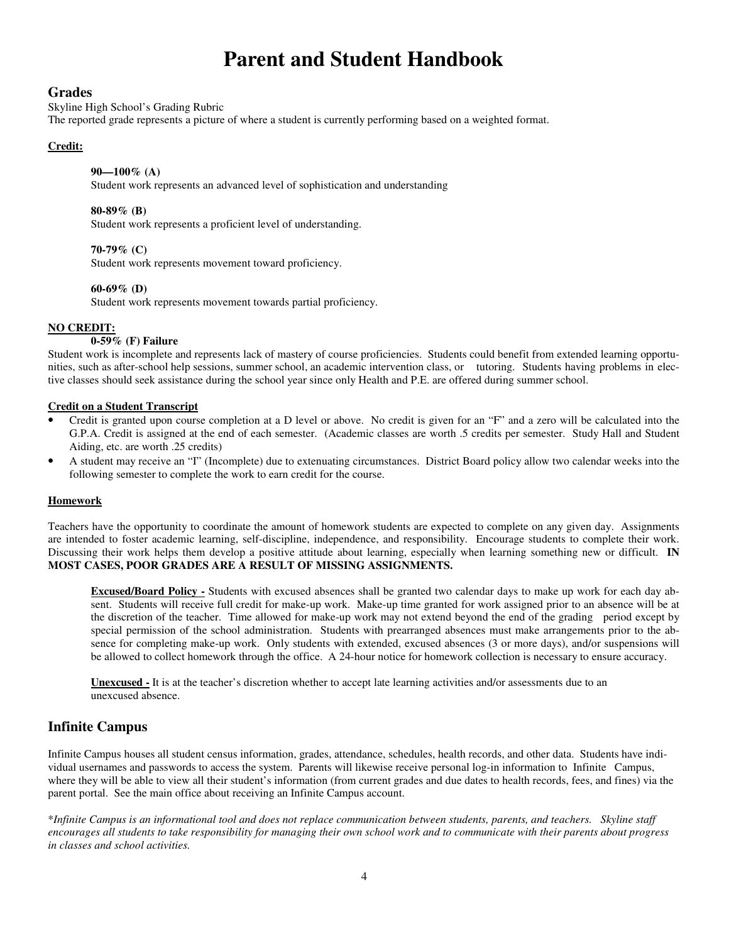# **Parent and Student Handbook**

## **Grades**

Skyline High School's Grading Rubric

The reported grade represents a picture of where a student is currently performing based on a weighted format.

## **Credit:**

## **90—100% (A)**

Student work represents an advanced level of sophistication and understanding

#### **80-89% (B)**

Student work represents a proficient level of understanding.

## **70-79% (C)**

Student work represents movement toward proficiency.

#### **60-69% (D)**

Student work represents movement towards partial proficiency.

## **NO CREDIT:**

## **0-59% (F) Failure**

Student work is incomplete and represents lack of mastery of course proficiencies. Students could benefit from extended learning opportunities, such as after-school help sessions, summer school, an academic intervention class, or tutoring. Students having problems in elective classes should seek assistance during the school year since only Health and P.E. are offered during summer school.

### **Credit on a Student Transcript**

- Credit is granted upon course completion at a D level or above. No credit is given for an "F" and a zero will be calculated into the G.P.A. Credit is assigned at the end of each semester. (Academic classes are worth .5 credits per semester. Study Hall and Student Aiding, etc. are worth .25 credits)
- A student may receive an "I" (Incomplete) due to extenuating circumstances. District Board policy allow two calendar weeks into the following semester to complete the work to earn credit for the course.

#### **Homework**

Teachers have the opportunity to coordinate the amount of homework students are expected to complete on any given day. Assignments are intended to foster academic learning, self-discipline, independence, and responsibility. Encourage students to complete their work. Discussing their work helps them develop a positive attitude about learning, especially when learning something new or difficult. **IN MOST CASES, POOR GRADES ARE A RESULT OF MISSING ASSIGNMENTS.** 

**Excused/Board Policy -** Students with excused absences shall be granted two calendar days to make up work for each day absent. Students will receive full credit for make-up work. Make-up time granted for work assigned prior to an absence will be at the discretion of the teacher. Time allowed for make-up work may not extend beyond the end of the grading period except by special permission of the school administration. Students with prearranged absences must make arrangements prior to the absence for completing make-up work. Only students with extended, excused absences (3 or more days), and/or suspensions will be allowed to collect homework through the office. A 24-hour notice for homework collection is necessary to ensure accuracy.

**Unexcused -** It is at the teacher's discretion whether to accept late learning activities and/or assessments due to an unexcused absence.

# **Infinite Campus**

Infinite Campus houses all student census information, grades, attendance, schedules, health records, and other data. Students have individual usernames and passwords to access the system. Parents will likewise receive personal log-in information to Infinite Campus, where they will be able to view all their student's information (from current grades and due dates to health records, fees, and fines) via the parent portal. See the main office about receiving an Infinite Campus account.

\**Infinite Campus is an informational tool and does not replace communication between students, parents, and teachers. Skyline staff encourages all students to take responsibility for managing their own school work and to communicate with their parents about progress in classes and school activities.*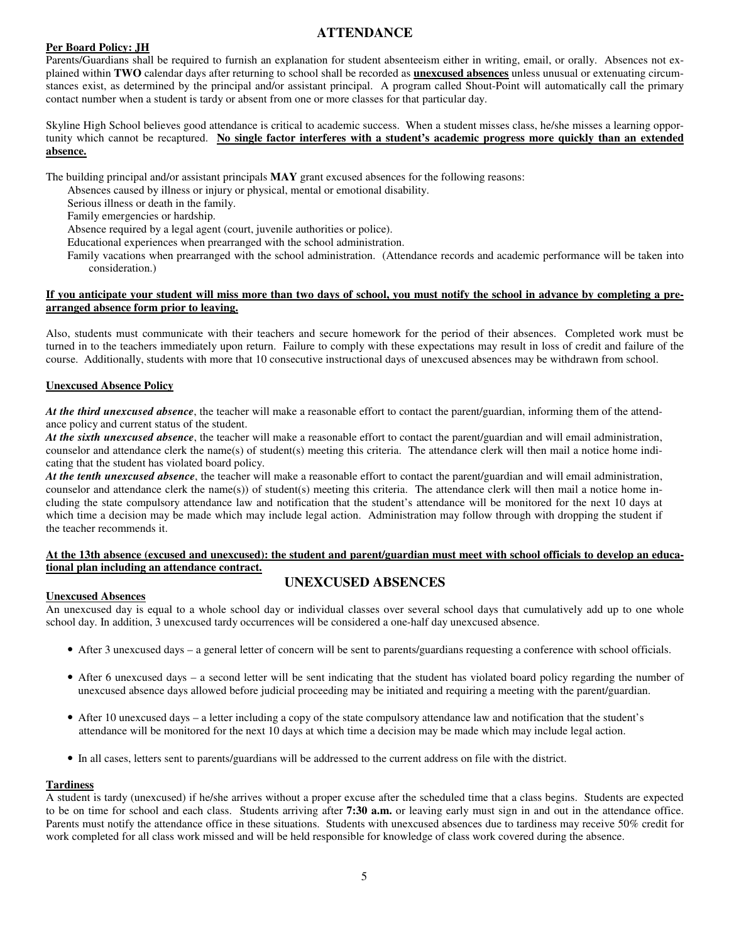# **ATTENDANCE**

# **Per Board Policy: JH**

Parents/Guardians shall be required to furnish an explanation for student absenteeism either in writing, email, or orally. Absences not explained within **TWO** calendar days after returning to school shall be recorded as **unexcused absences** unless unusual or extenuating circumstances exist, as determined by the principal and/or assistant principal. A program called Shout-Point will automatically call the primary contact number when a student is tardy or absent from one or more classes for that particular day.

Skyline High School believes good attendance is critical to academic success. When a student misses class, he/she misses a learning opportunity which cannot be recaptured. **No single factor interferes with a student's academic progress more quickly than an extended absence.** 

The building principal and/or assistant principals **MAY** grant excused absences for the following reasons:

Absences caused by illness or injury or physical, mental or emotional disability.

Serious illness or death in the family.

Family emergencies or hardship.

Absence required by a legal agent (court, juvenile authorities or police).

Educational experiences when prearranged with the school administration.

Family vacations when prearranged with the school administration. (Attendance records and academic performance will be taken into consideration.)

## **If you anticipate your student will miss more than two days of school, you must notify the school in advance by completing a prearranged absence form prior to leaving.**

Also, students must communicate with their teachers and secure homework for the period of their absences. Completed work must be turned in to the teachers immediately upon return. Failure to comply with these expectations may result in loss of credit and failure of the course. Additionally, students with more that 10 consecutive instructional days of unexcused absences may be withdrawn from school.

# **Unexcused Absence Policy**

*At the third unexcused absence*, the teacher will make a reasonable effort to contact the parent/guardian, informing them of the attendance policy and current status of the student.

*At the sixth unexcused absence*, the teacher will make a reasonable effort to contact the parent/guardian and will email administration, counselor and attendance clerk the name(s) of student(s) meeting this criteria. The attendance clerk will then mail a notice home indicating that the student has violated board policy.

*At the tenth unexcused absence*, the teacher will make a reasonable effort to contact the parent/guardian and will email administration, counselor and attendance clerk the name(s)) of student(s) meeting this criteria. The attendance clerk will then mail a notice home including the state compulsory attendance law and notification that the student's attendance will be monitored for the next 10 days at which time a decision may be made which may include legal action. Administration may follow through with dropping the student if the teacher recommends it.

# **At the 13th absence (excused and unexcused): the student and parent/guardian must meet with school officials to develop an educational plan including an attendance contract.**

# **UNEXCUSED ABSENCES**

#### **Unexcused Absences**

An unexcused day is equal to a whole school day or individual classes over several school days that cumulatively add up to one whole school day. In addition, 3 unexcused tardy occurrences will be considered a one-half day unexcused absence.

- After 3 unexcused days a general letter of concern will be sent to parents/guardians requesting a conference with school officials.
- After 6 unexcused days a second letter will be sent indicating that the student has violated board policy regarding the number of unexcused absence days allowed before judicial proceeding may be initiated and requiring a meeting with the parent/guardian.
- After 10 unexcused days a letter including a copy of the state compulsory attendance law and notification that the student's attendance will be monitored for the next 10 days at which time a decision may be made which may include legal action.
- In all cases, letters sent to parents/guardians will be addressed to the current address on file with the district.

#### **Tardiness**

A student is tardy (unexcused) if he/she arrives without a proper excuse after the scheduled time that a class begins. Students are expected to be on time for school and each class. Students arriving after **7:30 a.m.** or leaving early must sign in and out in the attendance office. Parents must notify the attendance office in these situations. Students with unexcused absences due to tardiness may receive 50% credit for work completed for all class work missed and will be held responsible for knowledge of class work covered during the absence.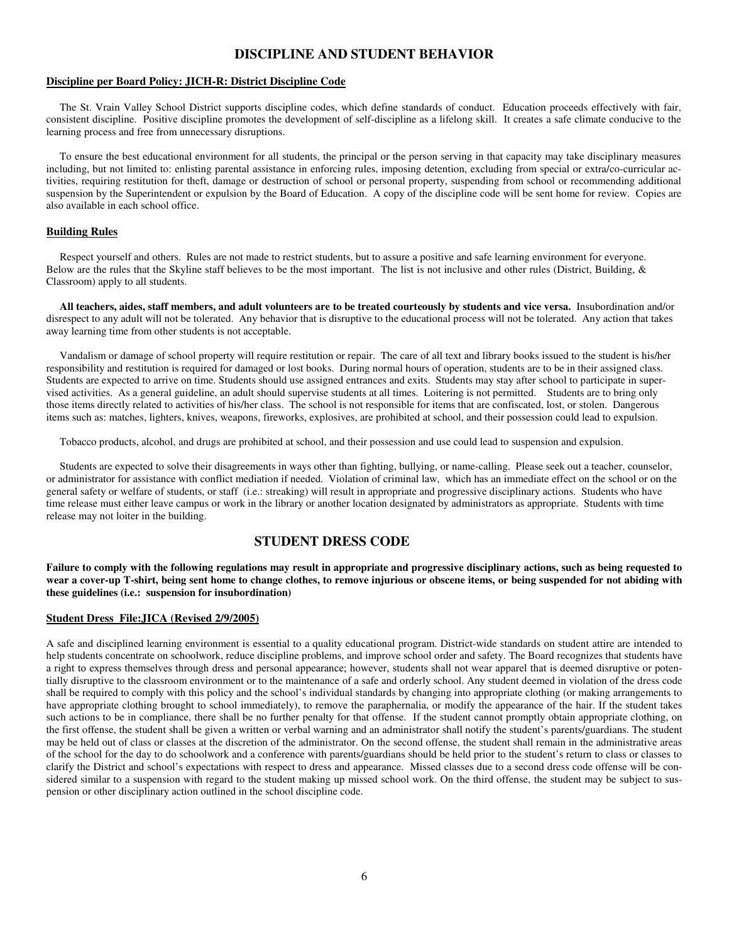# **DISCIPLINE AND STUDENT BEHAVIOR**

#### **Discipline per Board Policy: JICH-R: District Discipline Code**

 The St. Vrain Valley School District supports discipline codes, which define standards of conduct. Education proceeds effectively with fair, consistent discipline. Positive discipline promotes the development of self-discipline as a lifelong skill. It creates a safe climate conducive to the learning process and free from unnecessary disruptions.

 To ensure the best educational environment for all students, the principal or the person serving in that capacity may take disciplinary measures including, but not limited to: enlisting parental assistance in enforcing rules, imposing detention, excluding from special or extra/co-curricular activities, requiring restitution for theft, damage or destruction of school or personal property, suspending from school or recommending additional suspension by the Superintendent or expulsion by the Board of Education. A copy of the discipline code will be sent home for review. Copies are also available in each school office.

#### **Building Rules**

 Respect yourself and others. Rules are not made to restrict students, but to assure a positive and safe learning environment for everyone. Below are the rules that the Skyline staff believes to be the most important. The list is not inclusive and other rules (District, Building,  $\&$ Classroom) apply to all students.

 **All teachers, aides, staff members, and adult volunteers are to be treated courteously by students and vice versa.** Insubordination and/or disrespect to any adult will not be tolerated. Any behavior that is disruptive to the educational process will not be tolerated. Any action that takes away learning time from other students is not acceptable.

 Vandalism or damage of school property will require restitution or repair. The care of all text and library books issued to the student is his/her responsibility and restitution is required for damaged or lost books. During normal hours of operation, students are to be in their assigned class. Students are expected to arrive on time. Students should use assigned entrances and exits. Students may stay after school to participate in supervised activities. As a general guideline, an adult should supervise students at all times. Loitering is not permitted. Students are to bring only those items directly related to activities of his/her class. The school is not responsible for items that are confiscated, lost, or stolen. Dangerous items such as: matches, lighters, knives, weapons, fireworks, explosives, are prohibited at school, and their possession could lead to expulsion.

Tobacco products, alcohol, and drugs are prohibited at school, and their possession and use could lead to suspension and expulsion.

 Students are expected to solve their disagreements in ways other than fighting, bullying, or name-calling. Please seek out a teacher, counselor, or administrator for assistance with conflict mediation if needed. Violation of criminal law, which has an immediate effect on the school or on the general safety or welfare of students, or staff (i.e.: streaking) will result in appropriate and progressive disciplinary actions. Students who have time release must either leave campus or work in the library or another location designated by administrators as appropriate. Students with time release may not loiter in the building.

## **STUDENT DRESS CODE**

**Failure to comply with the following regulations may result in appropriate and progressive disciplinary actions, such as being requested to wear a cover-up T-shirt, being sent home to change clothes, to remove injurious or obscene items, or being suspended for not abiding with these guidelines (i.e.: suspension for insubordination)** 

#### **Student Dress File:JICA (Revised 2/9/2005)**

A safe and disciplined learning environment is essential to a quality educational program. District-wide standards on student attire are intended to help students concentrate on schoolwork, reduce discipline problems, and improve school order and safety. The Board recognizes that students have a right to express themselves through dress and personal appearance; however, students shall not wear apparel that is deemed disruptive or potentially disruptive to the classroom environment or to the maintenance of a safe and orderly school. Any student deemed in violation of the dress code shall be required to comply with this policy and the school's individual standards by changing into appropriate clothing (or making arrangements to have appropriate clothing brought to school immediately), to remove the paraphernalia, or modify the appearance of the hair. If the student takes such actions to be in compliance, there shall be no further penalty for that offense. If the student cannot promptly obtain appropriate clothing, on the first offense, the student shall be given a written or verbal warning and an administrator shall notify the student's parents/guardians. The student may be held out of class or classes at the discretion of the administrator. On the second offense, the student shall remain in the administrative areas of the school for the day to do schoolwork and a conference with parents/guardians should be held prior to the student's return to class or classes to clarify the District and school's expectations with respect to dress and appearance. Missed classes due to a second dress code offense will be considered similar to a suspension with regard to the student making up missed school work. On the third offense, the student may be subject to suspension or other disciplinary action outlined in the school discipline code.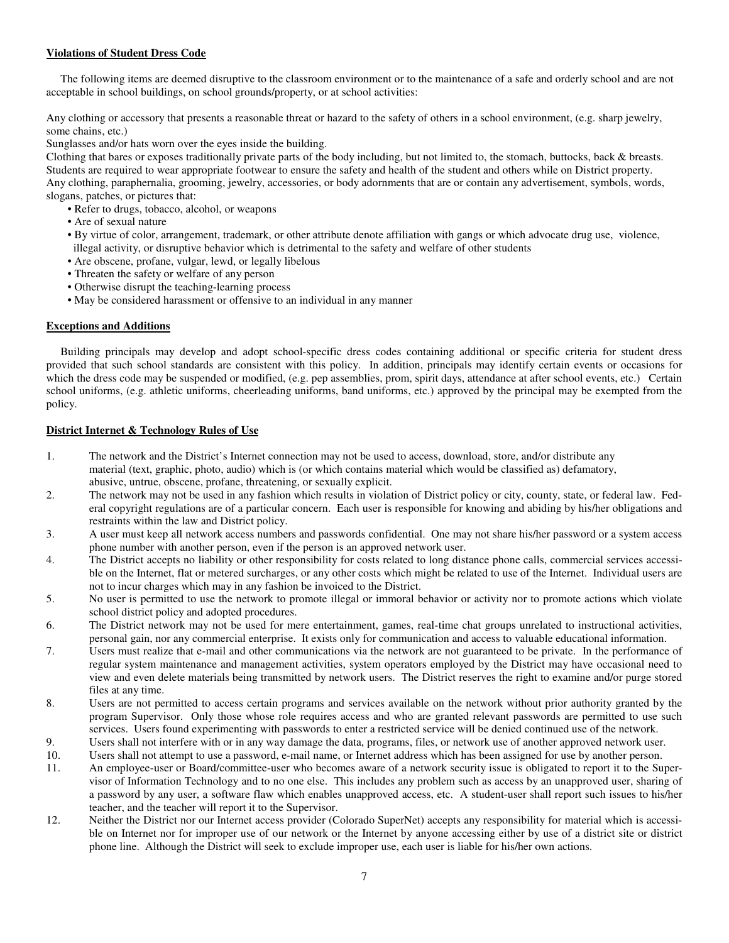# **Violations of Student Dress Code**

 The following items are deemed disruptive to the classroom environment or to the maintenance of a safe and orderly school and are not acceptable in school buildings, on school grounds/property, or at school activities:

Any clothing or accessory that presents a reasonable threat or hazard to the safety of others in a school environment, (e.g. sharp jewelry, some chains, etc.)

Sunglasses and/or hats worn over the eyes inside the building.

Clothing that bares or exposes traditionally private parts of the body including, but not limited to, the stomach, buttocks, back & breasts. Students are required to wear appropriate footwear to ensure the safety and health of the student and others while on District property. Any clothing, paraphernalia, grooming, jewelry, accessories, or body adornments that are or contain any advertisement, symbols, words, slogans, patches, or pictures that:

- Refer to drugs, tobacco, alcohol, or weapons
- Are of sexual nature
- By virtue of color, arrangement, trademark, or other attribute denote affiliation with gangs or which advocate drug use, violence, illegal activity, or disruptive behavior which is detrimental to the safety and welfare of other students
- Are obscene, profane, vulgar, lewd, or legally libelous
- Threaten the safety or welfare of any person
- Otherwise disrupt the teaching-learning process
- May be considered harassment or offensive to an individual in any manner

## **Exceptions and Additions**

 Building principals may develop and adopt school-specific dress codes containing additional or specific criteria for student dress provided that such school standards are consistent with this policy. In addition, principals may identify certain events or occasions for which the dress code may be suspended or modified, (e.g. pep assemblies, prom, spirit days, attendance at after school events, etc.) Certain school uniforms, (e.g. athletic uniforms, cheerleading uniforms, band uniforms, etc.) approved by the principal may be exempted from the policy.

## **District Internet & Technology Rules of Use**

- 1. The network and the District's Internet connection may not be used to access, download, store, and/or distribute any material (text, graphic, photo, audio) which is (or which contains material which would be classified as) defamatory, abusive, untrue, obscene, profane, threatening, or sexually explicit.
- 2. The network may not be used in any fashion which results in violation of District policy or city, county, state, or federal law. Federal copyright regulations are of a particular concern. Each user is responsible for knowing and abiding by his/her obligations and restraints within the law and District policy.
- 3. A user must keep all network access numbers and passwords confidential. One may not share his/her password or a system access phone number with another person, even if the person is an approved network user.
- 4. The District accepts no liability or other responsibility for costs related to long distance phone calls, commercial services accessible on the Internet, flat or metered surcharges, or any other costs which might be related to use of the Internet. Individual users are not to incur charges which may in any fashion be invoiced to the District.
- 5. No user is permitted to use the network to promote illegal or immoral behavior or activity nor to promote actions which violate school district policy and adopted procedures.
- 6. The District network may not be used for mere entertainment, games, real-time chat groups unrelated to instructional activities, personal gain, nor any commercial enterprise. It exists only for communication and access to valuable educational information.
- 7. Users must realize that e-mail and other communications via the network are not guaranteed to be private. In the performance of regular system maintenance and management activities, system operators employed by the District may have occasional need to view and even delete materials being transmitted by network users. The District reserves the right to examine and/or purge stored files at any time.
- 8. Users are not permitted to access certain programs and services available on the network without prior authority granted by the program Supervisor. Only those whose role requires access and who are granted relevant passwords are permitted to use such services. Users found experimenting with passwords to enter a restricted service will be denied continued use of the network.
- 9. Users shall not interfere with or in any way damage the data, programs, files, or network use of another approved network user.
- 10. Users shall not attempt to use a password, e-mail name, or Internet address which has been assigned for use by another person.
- 11. An employee-user or Board/committee-user who becomes aware of a network security issue is obligated to report it to the Supervisor of Information Technology and to no one else. This includes any problem such as access by an unapproved user, sharing of a password by any user, a software flaw which enables unapproved access, etc. A student-user shall report such issues to his/her teacher, and the teacher will report it to the Supervisor.
- 12. Neither the District nor our Internet access provider (Colorado SuperNet) accepts any responsibility for material which is accessible on Internet nor for improper use of our network or the Internet by anyone accessing either by use of a district site or district phone line. Although the District will seek to exclude improper use, each user is liable for his/her own actions.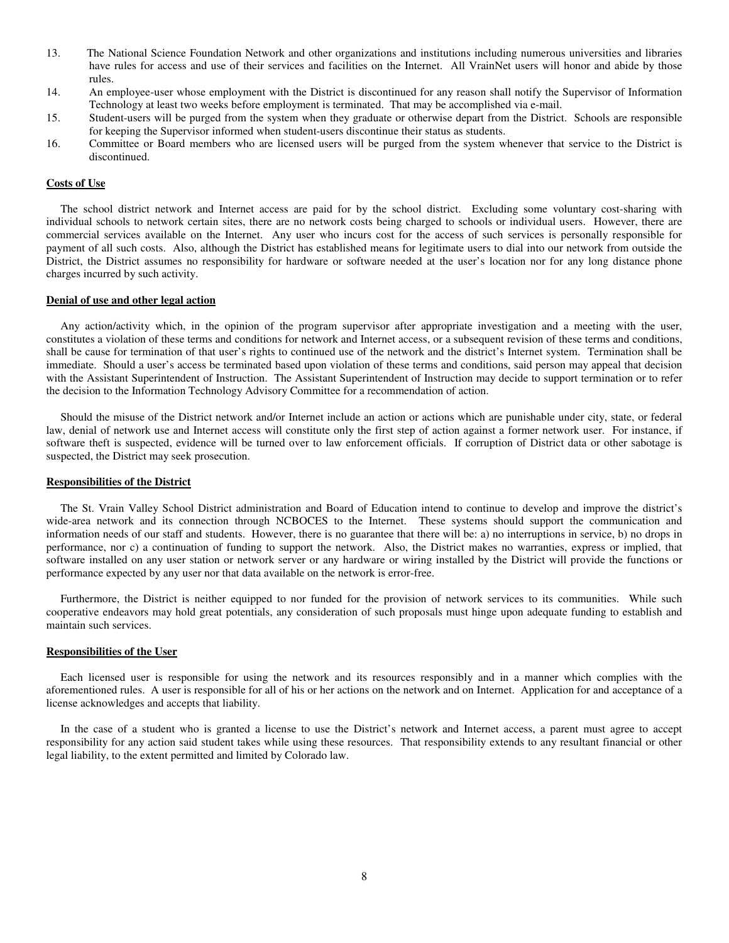- 13. The National Science Foundation Network and other organizations and institutions including numerous universities and libraries have rules for access and use of their services and facilities on the Internet. All VrainNet users will honor and abide by those rules.
- 14. An employee-user whose employment with the District is discontinued for any reason shall notify the Supervisor of Information Technology at least two weeks before employment is terminated. That may be accomplished via e-mail.
- 15. Student-users will be purged from the system when they graduate or otherwise depart from the District. Schools are responsible for keeping the Supervisor informed when student-users discontinue their status as students.
- 16. Committee or Board members who are licensed users will be purged from the system whenever that service to the District is discontinued.

#### **Costs of Use**

 The school district network and Internet access are paid for by the school district. Excluding some voluntary cost-sharing with individual schools to network certain sites, there are no network costs being charged to schools or individual users. However, there are commercial services available on the Internet. Any user who incurs cost for the access of such services is personally responsible for payment of all such costs. Also, although the District has established means for legitimate users to dial into our network from outside the District, the District assumes no responsibility for hardware or software needed at the user's location nor for any long distance phone charges incurred by such activity.

#### **Denial of use and other legal action**

 Any action/activity which, in the opinion of the program supervisor after appropriate investigation and a meeting with the user, constitutes a violation of these terms and conditions for network and Internet access, or a subsequent revision of these terms and conditions, shall be cause for termination of that user's rights to continued use of the network and the district's Internet system. Termination shall be immediate. Should a user's access be terminated based upon violation of these terms and conditions, said person may appeal that decision with the Assistant Superintendent of Instruction. The Assistant Superintendent of Instruction may decide to support termination or to refer the decision to the Information Technology Advisory Committee for a recommendation of action.

 Should the misuse of the District network and/or Internet include an action or actions which are punishable under city, state, or federal law, denial of network use and Internet access will constitute only the first step of action against a former network user. For instance, if software theft is suspected, evidence will be turned over to law enforcement officials. If corruption of District data or other sabotage is suspected, the District may seek prosecution.

#### **Responsibilities of the District**

 The St. Vrain Valley School District administration and Board of Education intend to continue to develop and improve the district's wide-area network and its connection through NCBOCES to the Internet. These systems should support the communication and information needs of our staff and students. However, there is no guarantee that there will be: a) no interruptions in service, b) no drops in performance, nor c) a continuation of funding to support the network. Also, the District makes no warranties, express or implied, that software installed on any user station or network server or any hardware or wiring installed by the District will provide the functions or performance expected by any user nor that data available on the network is error-free.

 Furthermore, the District is neither equipped to nor funded for the provision of network services to its communities. While such cooperative endeavors may hold great potentials, any consideration of such proposals must hinge upon adequate funding to establish and maintain such services.

#### **Responsibilities of the User**

 Each licensed user is responsible for using the network and its resources responsibly and in a manner which complies with the aforementioned rules. A user is responsible for all of his or her actions on the network and on Internet. Application for and acceptance of a license acknowledges and accepts that liability.

 In the case of a student who is granted a license to use the District's network and Internet access, a parent must agree to accept responsibility for any action said student takes while using these resources. That responsibility extends to any resultant financial or other legal liability, to the extent permitted and limited by Colorado law.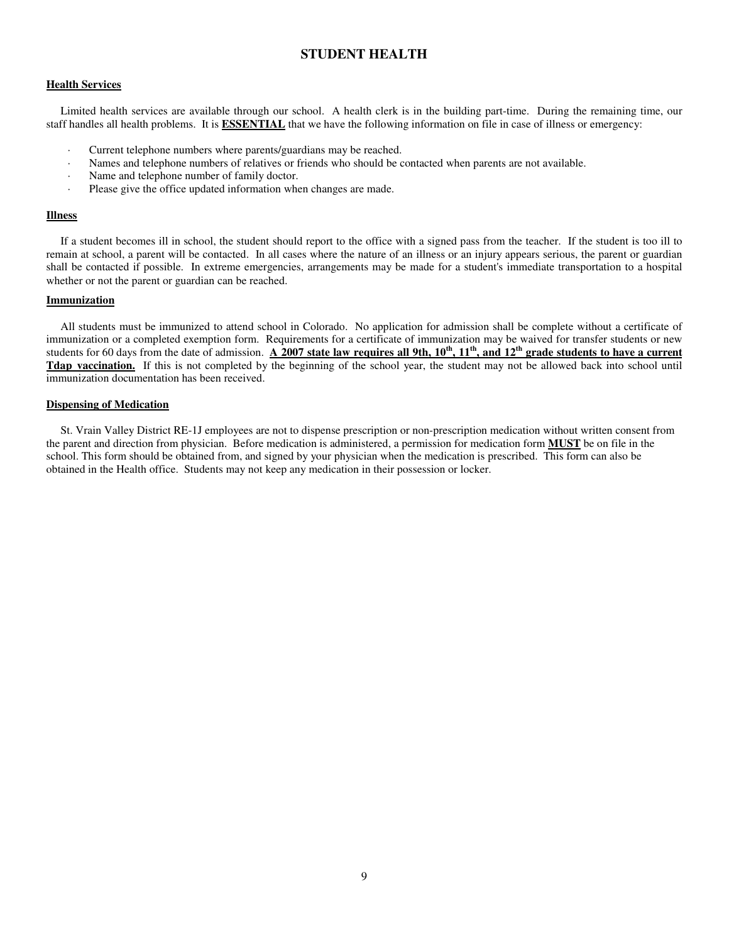# **STUDENT HEALTH**

#### **Health Services**

 Limited health services are available through our school. A health clerk is in the building part-time. During the remaining time, our staff handles all health problems. It is **ESSENTIAL** that we have the following information on file in case of illness or emergency:

- Current telephone numbers where parents/guardians may be reached.
- Names and telephone numbers of relatives or friends who should be contacted when parents are not available.
- Name and telephone number of family doctor.
- Please give the office updated information when changes are made.

## **Illness**

 If a student becomes ill in school, the student should report to the office with a signed pass from the teacher. If the student is too ill to remain at school, a parent will be contacted. In all cases where the nature of an illness or an injury appears serious, the parent or guardian shall be contacted if possible. In extreme emergencies, arrangements may be made for a student's immediate transportation to a hospital whether or not the parent or guardian can be reached.

#### **Immunization**

 All students must be immunized to attend school in Colorado. No application for admission shall be complete without a certificate of immunization or a completed exemption form. Requirements for a certificate of immunization may be waived for transfer students or new students for 60 days from the date of admission. **A 2007 state law requires all 9th, 10th, 11th, and 12th grade students to have a current Tdap vaccination.** If this is not completed by the beginning of the school year, the student may not be allowed back into school until immunization documentation has been received.

#### **Dispensing of Medication**

 St. Vrain Valley District RE-1J employees are not to dispense prescription or non-prescription medication without written consent from the parent and direction from physician. Before medication is administered, a permission for medication form **MUST** be on file in the school. This form should be obtained from, and signed by your physician when the medication is prescribed. This form can also be obtained in the Health office. Students may not keep any medication in their possession or locker.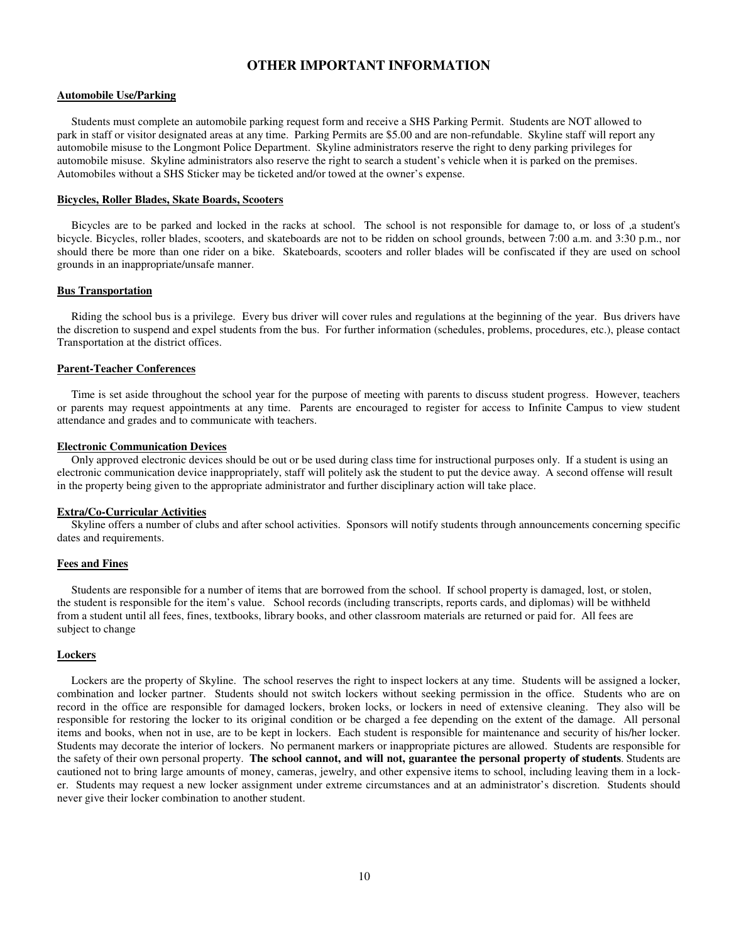# **OTHER IMPORTANT INFORMATION**

#### **Automobile Use/Parking**

 Students must complete an automobile parking request form and receive a SHS Parking Permit. Students are NOT allowed to park in staff or visitor designated areas at any time. Parking Permits are \$5.00 and are non-refundable. Skyline staff will report any automobile misuse to the Longmont Police Department. Skyline administrators reserve the right to deny parking privileges for automobile misuse. Skyline administrators also reserve the right to search a student's vehicle when it is parked on the premises. Automobiles without a SHS Sticker may be ticketed and/or towed at the owner's expense.

#### **Bicycles, Roller Blades, Skate Boards, Scooters**

 Bicycles are to be parked and locked in the racks at school. The school is not responsible for damage to, or loss of ,a student's bicycle. Bicycles, roller blades, scooters, and skateboards are not to be ridden on school grounds, between 7:00 a.m. and 3:30 p.m., nor should there be more than one rider on a bike. Skateboards, scooters and roller blades will be confiscated if they are used on school grounds in an inappropriate/unsafe manner.

#### **Bus Transportation**

 Riding the school bus is a privilege. Every bus driver will cover rules and regulations at the beginning of the year. Bus drivers have the discretion to suspend and expel students from the bus. For further information (schedules, problems, procedures, etc.), please contact Transportation at the district offices.

#### **Parent-Teacher Conferences**

 Time is set aside throughout the school year for the purpose of meeting with parents to discuss student progress. However, teachers or parents may request appointments at any time. Parents are encouraged to register for access to Infinite Campus to view student attendance and grades and to communicate with teachers.

#### **Electronic Communication Devices**

 Only approved electronic devices should be out or be used during class time for instructional purposes only. If a student is using an electronic communication device inappropriately, staff will politely ask the student to put the device away. A second offense will result in the property being given to the appropriate administrator and further disciplinary action will take place.

#### **Extra/Co-Curricular Activities**

 Skyline offers a number of clubs and after school activities. Sponsors will notify students through announcements concerning specific dates and requirements.

#### **Fees and Fines**

 Students are responsible for a number of items that are borrowed from the school. If school property is damaged, lost, or stolen, the student is responsible for the item's value. School records (including transcripts, reports cards, and diplomas) will be withheld from a student until all fees, fines, textbooks, library books, and other classroom materials are returned or paid for. All fees are subject to change

#### **Lockers**

 Lockers are the property of Skyline. The school reserves the right to inspect lockers at any time. Students will be assigned a locker, combination and locker partner. Students should not switch lockers without seeking permission in the office. Students who are on record in the office are responsible for damaged lockers, broken locks, or lockers in need of extensive cleaning. They also will be responsible for restoring the locker to its original condition or be charged a fee depending on the extent of the damage. All personal items and books, when not in use, are to be kept in lockers. Each student is responsible for maintenance and security of his/her locker. Students may decorate the interior of lockers. No permanent markers or inappropriate pictures are allowed. Students are responsible for the safety of their own personal property. **The school cannot, and will not, guarantee the personal property of students**. Students are cautioned not to bring large amounts of money, cameras, jewelry, and other expensive items to school, including leaving them in a locker. Students may request a new locker assignment under extreme circumstances and at an administrator's discretion. Students should never give their locker combination to another student.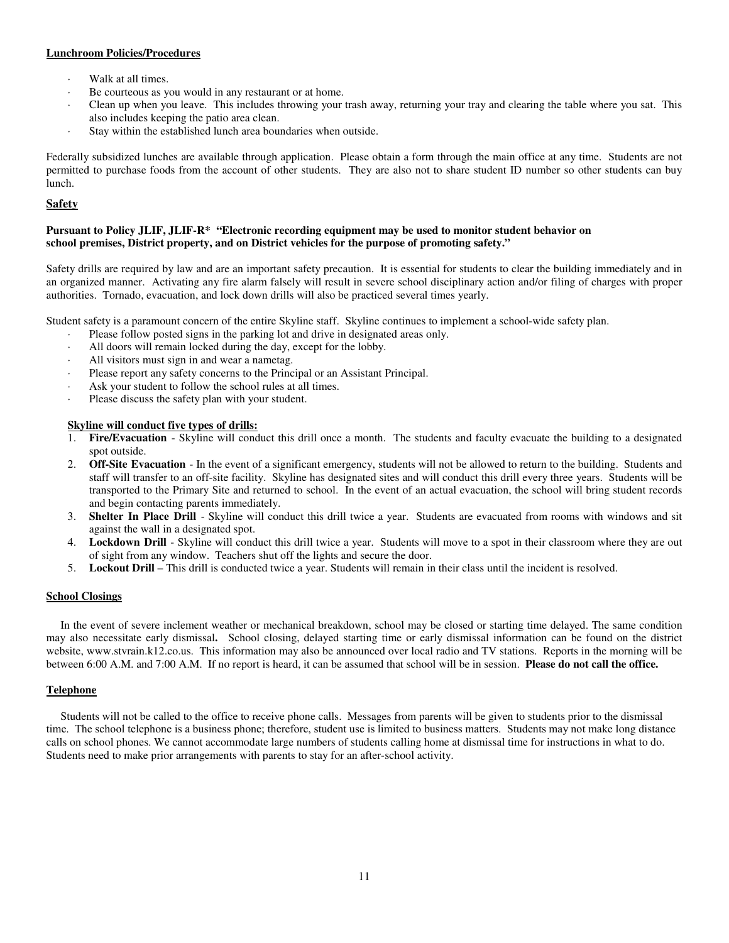## **Lunchroom Policies/Procedures**

- Walk at all times.
- Be courteous as you would in any restaurant or at home.
- Clean up when you leave. This includes throwing your trash away, returning your tray and clearing the table where you sat. This also includes keeping the patio area clean.
- Stay within the established lunch area boundaries when outside.

Federally subsidized lunches are available through application. Please obtain a form through the main office at any time. Students are not permitted to purchase foods from the account of other students. They are also not to share student ID number so other students can buy lunch.

# **Safety**

## **Pursuant to Policy JLIF, JLIF-R\* "Electronic recording equipment may be used to monitor student behavior on school premises, District property, and on District vehicles for the purpose of promoting safety."**

Safety drills are required by law and are an important safety precaution. It is essential for students to clear the building immediately and in an organized manner. Activating any fire alarm falsely will result in severe school disciplinary action and/or filing of charges with proper authorities. Tornado, evacuation, and lock down drills will also be practiced several times yearly.

Student safety is a paramount concern of the entire Skyline staff. Skyline continues to implement a school-wide safety plan.

- Please follow posted signs in the parking lot and drive in designated areas only.
- All doors will remain locked during the day, except for the lobby.
- All visitors must sign in and wear a nametag.
- Please report any safety concerns to the Principal or an Assistant Principal.
- Ask your student to follow the school rules at all times.
- Please discuss the safety plan with your student.

## **Skyline will conduct five types of drills:**

- 1. **Fire/Evacuation**  Skyline will conduct this drill once a month. The students and faculty evacuate the building to a designated spot outside.
- 2. **Off-Site Evacuation**  In the event of a significant emergency, students will not be allowed to return to the building. Students and staff will transfer to an off-site facility. Skyline has designated sites and will conduct this drill every three years. Students will be transported to the Primary Site and returned to school. In the event of an actual evacuation, the school will bring student records and begin contacting parents immediately.
- 3. **Shelter In Place Drill**  Skyline will conduct this drill twice a year. Students are evacuated from rooms with windows and sit against the wall in a designated spot.
- 4. **Lockdown Drill**  Skyline will conduct this drill twice a year. Students will move to a spot in their classroom where they are out of sight from any window. Teachers shut off the lights and secure the door.
- 5. **Lockout Drill**  This drill is conducted twice a year. Students will remain in their class until the incident is resolved.

# **School Closings**

 In the event of severe inclement weather or mechanical breakdown, school may be closed or starting time delayed. The same condition may also necessitate early dismissal**.** School closing, delayed starting time or early dismissal information can be found on the district website, www.stvrain.k12.co.us. This information may also be announced over local radio and TV stations. Reports in the morning will be between 6:00 A.M. and 7:00 A.M. If no report is heard, it can be assumed that school will be in session. **Please do not call the office.** 

#### **Telephone**

 Students will not be called to the office to receive phone calls. Messages from parents will be given to students prior to the dismissal time. The school telephone is a business phone; therefore, student use is limited to business matters. Students may not make long distance calls on school phones. We cannot accommodate large numbers of students calling home at dismissal time for instructions in what to do. Students need to make prior arrangements with parents to stay for an after-school activity.